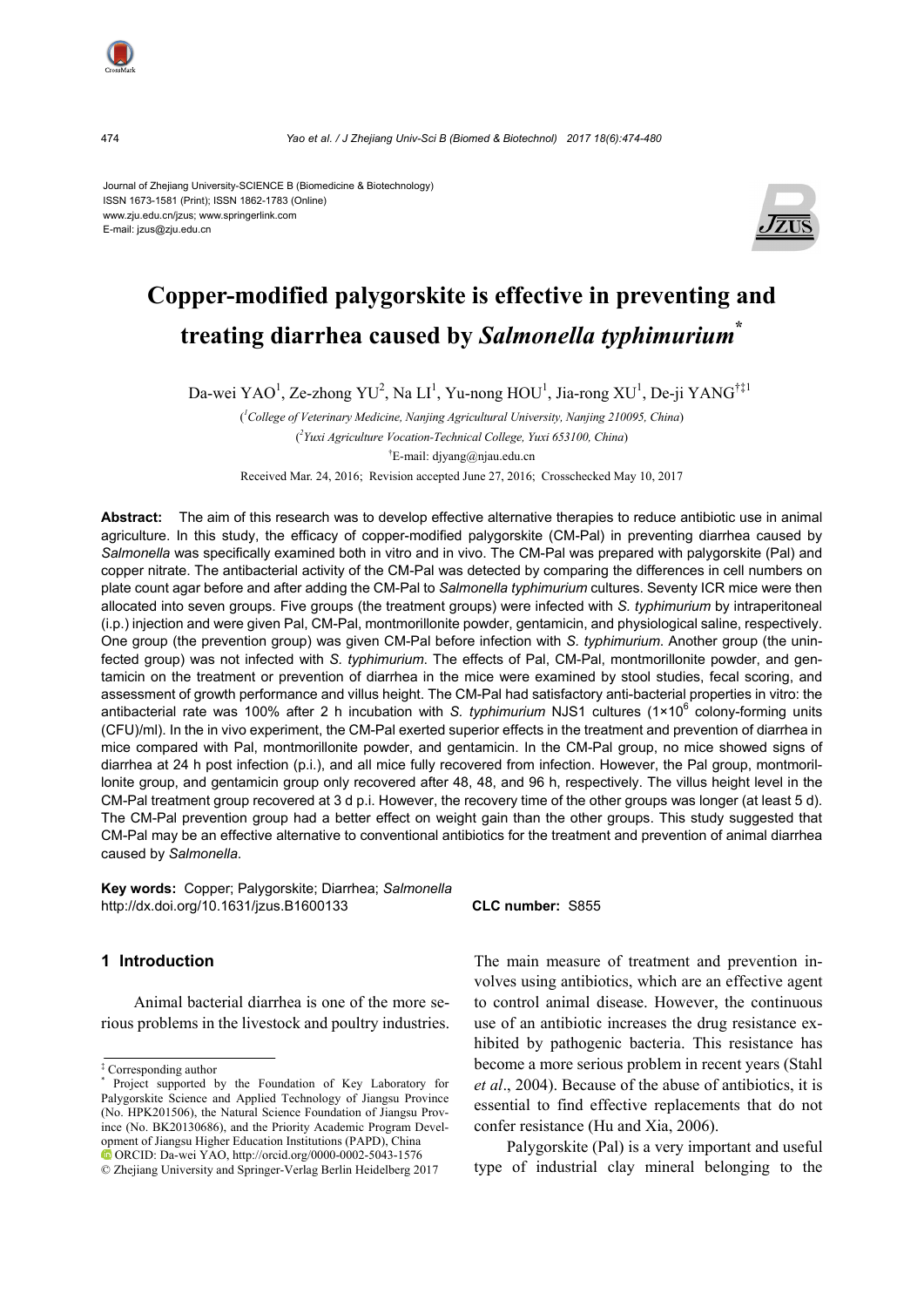Journal of Zhejiang University-SCIENCE B (Biomedicine & Biotechnology) ISSN 1673-1581 (Print); ISSN 1862-1783 (Online) www.zju.edu.cn/jzus; www.springerlink.com E-mail: jzus@zju.edu.cn



# **Copper-modified palygorskite is effective in preventing and treating diarrhea caused by** *Salmonella typhimurium***\***

Da-wei YAO<sup>1</sup>, Ze-zhong YU<sup>2</sup>, Na LI<sup>1</sup>, Yu-nong HOU<sup>1</sup>, Jia-rong XU<sup>1</sup>, De-ji YANG<sup>†‡1</sup>

( *1 College of Veterinary Medicine, Nanjing Agricultural University, Nanjing 210095, China*) ( *2 Yuxi Agriculture Vocation-Technical College, Yuxi 653100, China*) † E-mail: djyang@njau.edu.cn

Received Mar. 24, 2016; Revision accepted June 27, 2016; Crosschecked May 10, 2017

**Abstract:** The aim of this research was to develop effective alternative therapies to reduce antibiotic use in animal agriculture. In this study, the efficacy of copper-modified palygorskite (CM-Pal) in preventing diarrhea caused by *Salmonella* was specifically examined both in vitro and in vivo. The CM-Pal was prepared with palygorskite (Pal) and copper nitrate. The antibacterial activity of the CM-Pal was detected by comparing the differences in cell numbers on plate count agar before and after adding the CM-Pal to *Salmonella typhimurium* cultures. Seventy ICR mice were then allocated into seven groups. Five groups (the treatment groups) were infected with *S. typhimurium* by intraperitoneal (i.p.) injection and were given Pal, CM-Pal, montmorillonite powder, gentamicin, and physiological saline, respectively. One group (the prevention group) was given CM-Pal before infection with *S. typhimurium*. Another group (the uninfected group) was not infected with *S. typhimurium*. The effects of Pal, CM-Pal, montmorillonite powder, and gentamicin on the treatment or prevention of diarrhea in the mice were examined by stool studies, fecal scoring, and assessment of growth performance and villus height. The CM-Pal had satisfactory anti-bacterial properties in vitro: the antibacterial rate was 100% after 2 h incubation with *S. typhimurium* NJS1 cultures (1×10<sup>6</sup> colony-forming units (CFU)/ml). In the in vivo experiment, the CM-Pal exerted superior effects in the treatment and prevention of diarrhea in mice compared with Pal, montmorillonite powder, and gentamicin. In the CM-Pal group, no mice showed signs of diarrhea at 24 h post infection (p.i.), and all mice fully recovered from infection. However, the Pal group, montmorillonite group, and gentamicin group only recovered after 48, 48, and 96 h, respectively. The villus height level in the CM-Pal treatment group recovered at 3 d p.i. However, the recovery time of the other groups was longer (at least 5 d). The CM-Pal prevention group had a better effect on weight gain than the other groups. This study suggested that CM-Pal may be an effective alternative to conventional antibiotics for the treatment and prevention of animal diarrhea caused by *Salmonella*.

**Key words:** Copper; Palygorskite; Diarrhea; *Salmonella* http://dx.doi.org/10.1631/jzus.B1600133 **CLC number:** S855

#### **1 Introduction**

Animal bacterial diarrhea is one of the more serious problems in the livestock and poultry industries.

‡ Corresponding author \*

The main measure of treatment and prevention involves using antibiotics, which are an effective agent to control animal disease. However, the continuous use of an antibiotic increases the drug resistance exhibited by pathogenic bacteria. This resistance has become a more serious problem in recent years (Stahl *et al*., 2004). Because of the abuse of antibiotics, it is essential to find effective replacements that do not confer resistance (Hu and Xia, 2006).

Palygorskite (Pal) is a very important and useful type of industrial clay mineral belonging to the

Project supported by the Foundation of Key Laboratory for Palygorskite Science and Applied Technology of Jiangsu Province (No. HPK201506), the Natural Science Foundation of Jiangsu Province (No. BK20130686), and the Priority Academic Program Development of Jiangsu Higher Education Institutions (PAPD), China ORCID: Da-wei YAO, http://orcid.org/0000-0002-5043-1576

<sup>©</sup> Zhejiang University and Springer-Verlag Berlin Heidelberg 2017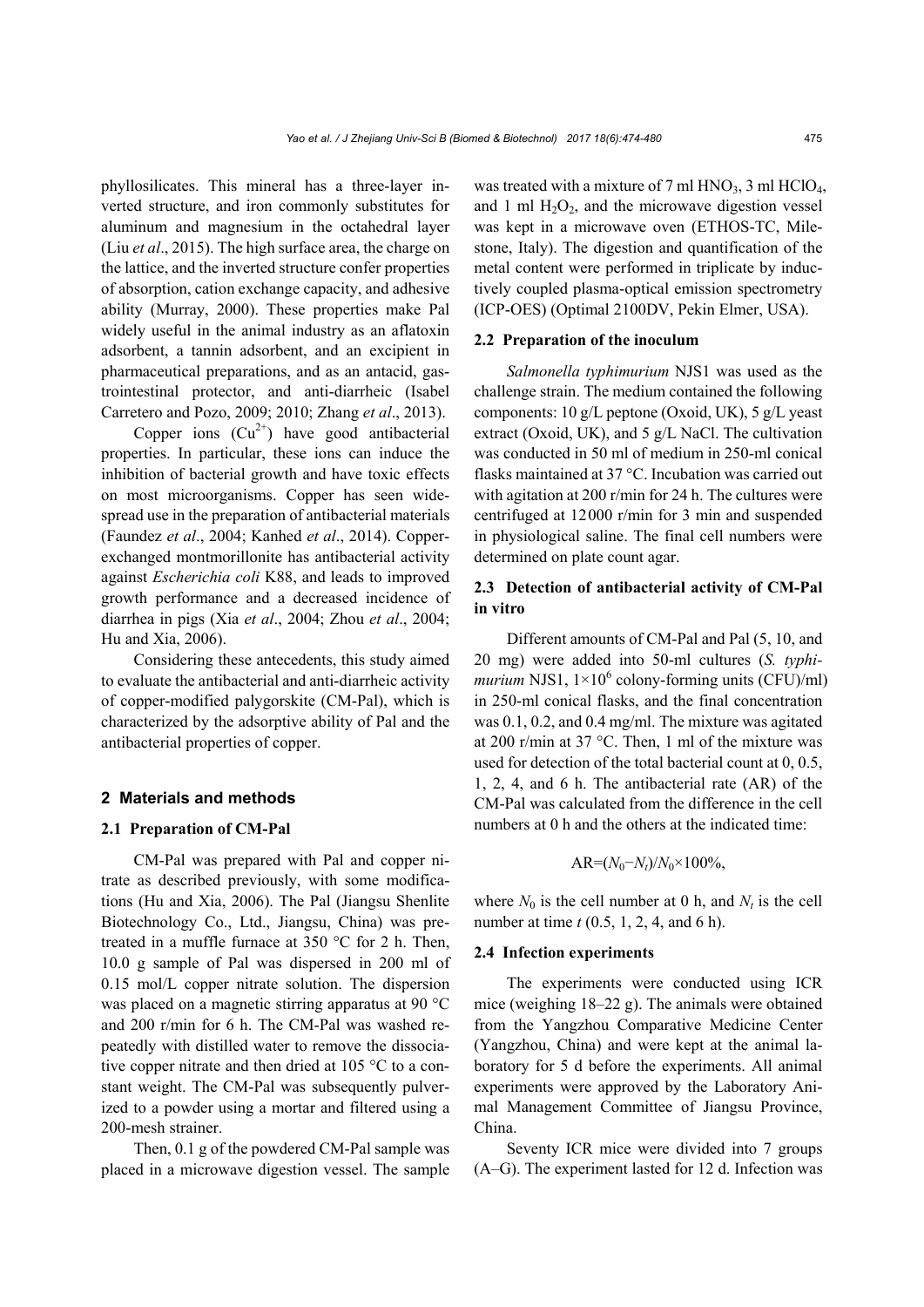phyllosilicates. This mineral has a three-layer inverted structure, and iron commonly substitutes for aluminum and magnesium in the octahedral layer (Liu *et al*., 2015). The high surface area, the charge on the lattice, and the inverted structure confer properties of absorption, cation exchange capacity, and adhesive ability (Murray, 2000). These properties make Pal widely useful in the animal industry as an aflatoxin adsorbent, a tannin adsorbent, and an excipient in pharmaceutical preparations, and as an antacid, gastrointestinal protector, and anti-diarrheic (Isabel Carretero and Pozo, 2009; 2010; Zhang *et al*., 2013).

Copper ions  $(Cu^{2+})$  have good antibacterial properties. In particular, these ions can induce the inhibition of bacterial growth and have toxic effects on most microorganisms. Copper has seen widespread use in the preparation of antibacterial materials (Faundez *et al*., 2004; Kanhed *et al*., 2014). Copperexchanged montmorillonite has antibacterial activity against *Escherichia coli* K88, and leads to improved growth performance and a decreased incidence of diarrhea in pigs (Xia *et al*., 2004; Zhou *et al*., 2004; Hu and Xia, 2006).

Considering these antecedents, this study aimed to evaluate the antibacterial and anti-diarrheic activity of copper-modified palygorskite (CM-Pal), which is characterized by the adsorptive ability of Pal and the antibacterial properties of copper.

#### **2 Materials and methods**

#### **2.1 Preparation of CM-Pal**

CM-Pal was prepared with Pal and copper nitrate as described previously, with some modifications (Hu and Xia, 2006). The Pal (Jiangsu Shenlite Biotechnology Co., Ltd., Jiangsu, China) was pretreated in a muffle furnace at 350 °C for 2 h. Then, 10.0 g sample of Pal was dispersed in 200 ml of 0.15 mol/L copper nitrate solution. The dispersion was placed on a magnetic stirring apparatus at 90 °C and 200 r/min for 6 h. The CM-Pal was washed repeatedly with distilled water to remove the dissociative copper nitrate and then dried at 105 °C to a constant weight. The CM-Pal was subsequently pulverized to a powder using a mortar and filtered using a 200-mesh strainer.

Then, 0.1 g of the powdered CM-Pal sample was placed in a microwave digestion vessel. The sample was treated with a mixture of 7 ml  $HNO<sub>3</sub>$ , 3 ml  $HClO<sub>4</sub>$ , and 1 ml  $H_2O_2$ , and the microwave digestion vessel was kept in a microwave oven (ETHOS-TC, Milestone, Italy). The digestion and quantification of the metal content were performed in triplicate by inductively coupled plasma-optical emission spectrometry (ICP-OES) (Optimal 2100DV, Pekin Elmer, USA).

#### **2.2 Preparation of the inoculum**

*Salmonella typhimurium* NJS1 was used as the challenge strain. The medium contained the following components: 10 g/L peptone (Oxoid, UK), 5 g/L yeast extract (Oxoid, UK), and 5 g/L NaCl. The cultivation was conducted in 50 ml of medium in 250-ml conical flasks maintained at 37 °C. Incubation was carried out with agitation at 200 r/min for 24 h. The cultures were centrifuged at 12000 r/min for 3 min and suspended in physiological saline. The final cell numbers were determined on plate count agar.

## **2.3 Detection of antibacterial activity of CM-Pal in vitro**

Different amounts of CM-Pal and Pal (5, 10, and 20 mg) were added into 50-ml cultures (*S. typhi* $murium NJS1, 1\times10^6$  colony-forming units (CFU)/ml) in 250-ml conical flasks, and the final concentration was 0.1, 0.2, and 0.4 mg/ml. The mixture was agitated at 200 r/min at 37 °C. Then, 1 ml of the mixture was used for detection of the total bacterial count at 0, 0.5, 1, 2, 4, and 6 h. The antibacterial rate (AR) of the CM-Pal was calculated from the difference in the cell numbers at 0 h and the others at the indicated time:

$$
AR = (N_0 - N_t)/N_0 \times 100\%,
$$

where  $N_0$  is the cell number at 0 h, and  $N_t$  is the cell number at time *t* (0.5, 1, 2, 4, and 6 h).

#### **2.4 Infection experiments**

The experiments were conducted using ICR mice (weighing 18–22 g). The animals were obtained from the Yangzhou Comparative Medicine Center (Yangzhou, China) and were kept at the animal laboratory for 5 d before the experiments. All animal experiments were approved by the Laboratory Animal Management Committee of Jiangsu Province, China.

Seventy ICR mice were divided into 7 groups (A–G). The experiment lasted for 12 d. Infection was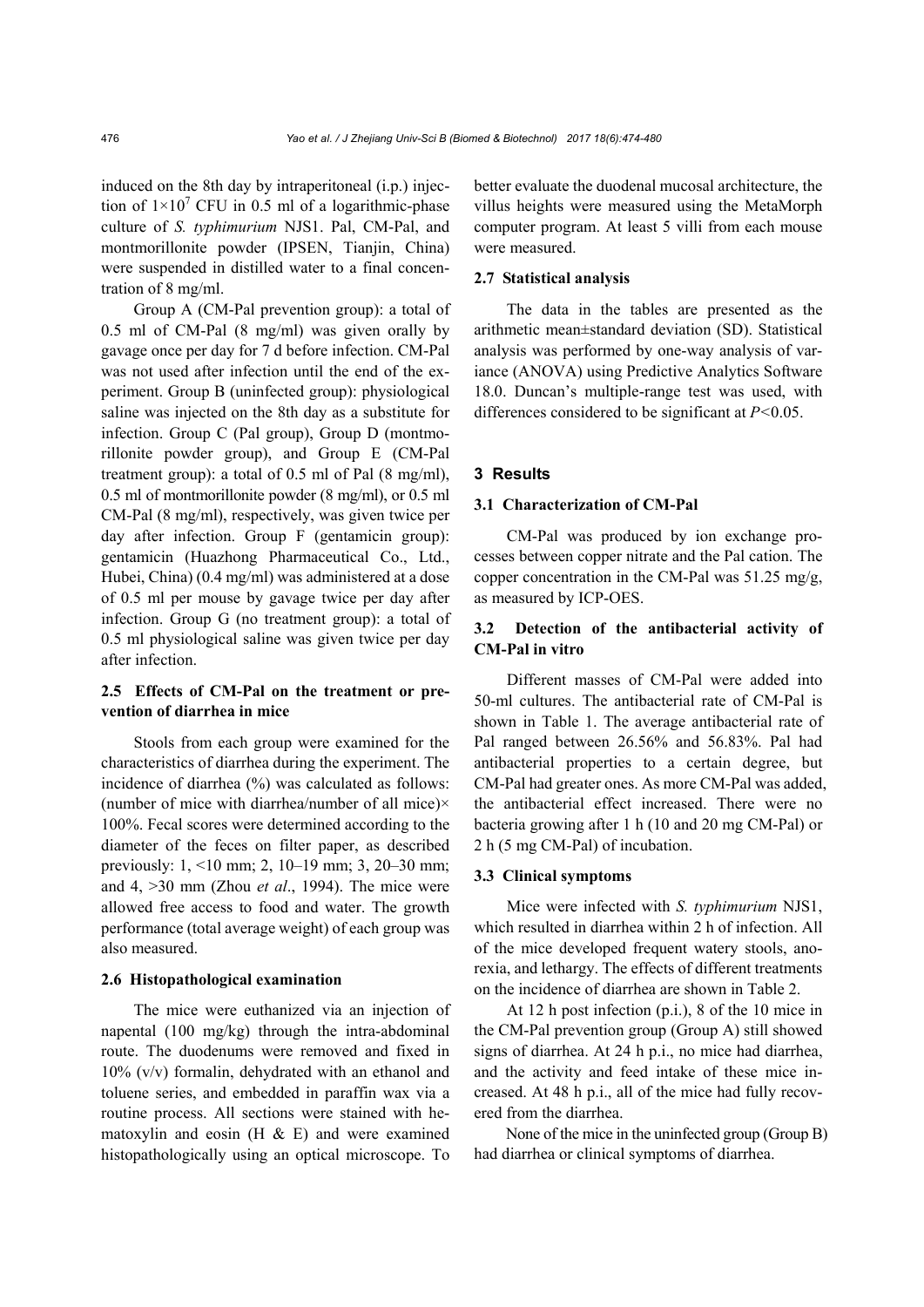induced on the 8th day by intraperitoneal (i.p.) injection of  $1 \times 10^7$  CFU in 0.5 ml of a logarithmic-phase culture of *S. typhimurium* NJS1. Pal, CM-Pal, and montmorillonite powder (IPSEN, Tianjin, China) were suspended in distilled water to a final concentration of 8 mg/ml.

Group A (CM-Pal prevention group): a total of 0.5 ml of CM-Pal (8 mg/ml) was given orally by gavage once per day for 7 d before infection. CM-Pal was not used after infection until the end of the experiment. Group B (uninfected group): physiological saline was injected on the 8th day as a substitute for infection. Group C (Pal group), Group D (montmorillonite powder group), and Group E (CM-Pal treatment group): a total of 0.5 ml of Pal (8 mg/ml), 0.5 ml of montmorillonite powder (8 mg/ml), or 0.5 ml CM-Pal (8 mg/ml), respectively, was given twice per day after infection. Group F (gentamicin group): gentamicin (Huazhong Pharmaceutical Co., Ltd., Hubei, China) (0.4 mg/ml) was administered at a dose of 0.5 ml per mouse by gavage twice per day after infection. Group G (no treatment group): a total of 0.5 ml physiological saline was given twice per day after infection.

# **2.5 Effects of CM-Pal on the treatment or prevention of diarrhea in mice**

Stools from each group were examined for the characteristics of diarrhea during the experiment. The incidence of diarrhea (%) was calculated as follows: (number of mice with diarrhea/number of all mice) $\times$ 100%. Fecal scores were determined according to the diameter of the feces on filter paper, as described previously: 1, <10 mm; 2, 10–19 mm; 3, 20–30 mm; and 4, >30 mm (Zhou *et al*., 1994). The mice were allowed free access to food and water. The growth performance (total average weight) of each group was also measured.

#### **2.6 Histopathological examination**

The mice were euthanized via an injection of napental (100 mg/kg) through the intra-abdominal route. The duodenums were removed and fixed in 10% (v/v) formalin, dehydrated with an ethanol and toluene series, and embedded in paraffin wax via a routine process. All sections were stained with hematoxylin and eosin  $(H & E)$  and were examined histopathologically using an optical microscope. To better evaluate the duodenal mucosal architecture, the villus heights were measured using the MetaMorph computer program. At least 5 villi from each mouse were measured.

#### **2.7 Statistical analysis**

The data in the tables are presented as the arithmetic mean±standard deviation (SD). Statistical analysis was performed by one-way analysis of variance (ANOVA) using Predictive Analytics Software 18.0. Duncan's multiple-range test was used, with differences considered to be significant at *P<*0.05.

#### **3 Results**

#### **3.1 Characterization of CM-Pal**

CM-Pal was produced by ion exchange processes between copper nitrate and the Pal cation. The copper concentration in the CM-Pal was 51.25 mg/g, as measured by ICP-OES.

# **3.2 Detection of the antibacterial activity of CM-Pal in vitro**

Different masses of CM-Pal were added into 50-ml cultures. The antibacterial rate of CM-Pal is shown in Table 1. The average antibacterial rate of Pal ranged between 26.56% and 56.83%. Pal had antibacterial properties to a certain degree, but CM-Pal had greater ones. As more CM-Pal was added, the antibacterial effect increased. There were no bacteria growing after 1 h (10 and 20 mg CM-Pal) or 2 h (5 mg CM-Pal) of incubation.

#### **3.3 Clinical symptoms**

Mice were infected with *S. typhimurium* NJS1, which resulted in diarrhea within 2 h of infection. All of the mice developed frequent watery stools, anorexia, and lethargy. The effects of different treatments on the incidence of diarrhea are shown in Table 2.

At 12 h post infection (p.i.), 8 of the 10 mice in the CM-Pal prevention group (Group A) still showed signs of diarrhea. At 24 h p.i., no mice had diarrhea, and the activity and feed intake of these mice increased. At 48 h p.i., all of the mice had fully recovered from the diarrhea.

None of the mice in the uninfected group (Group B) had diarrhea or clinical symptoms of diarrhea.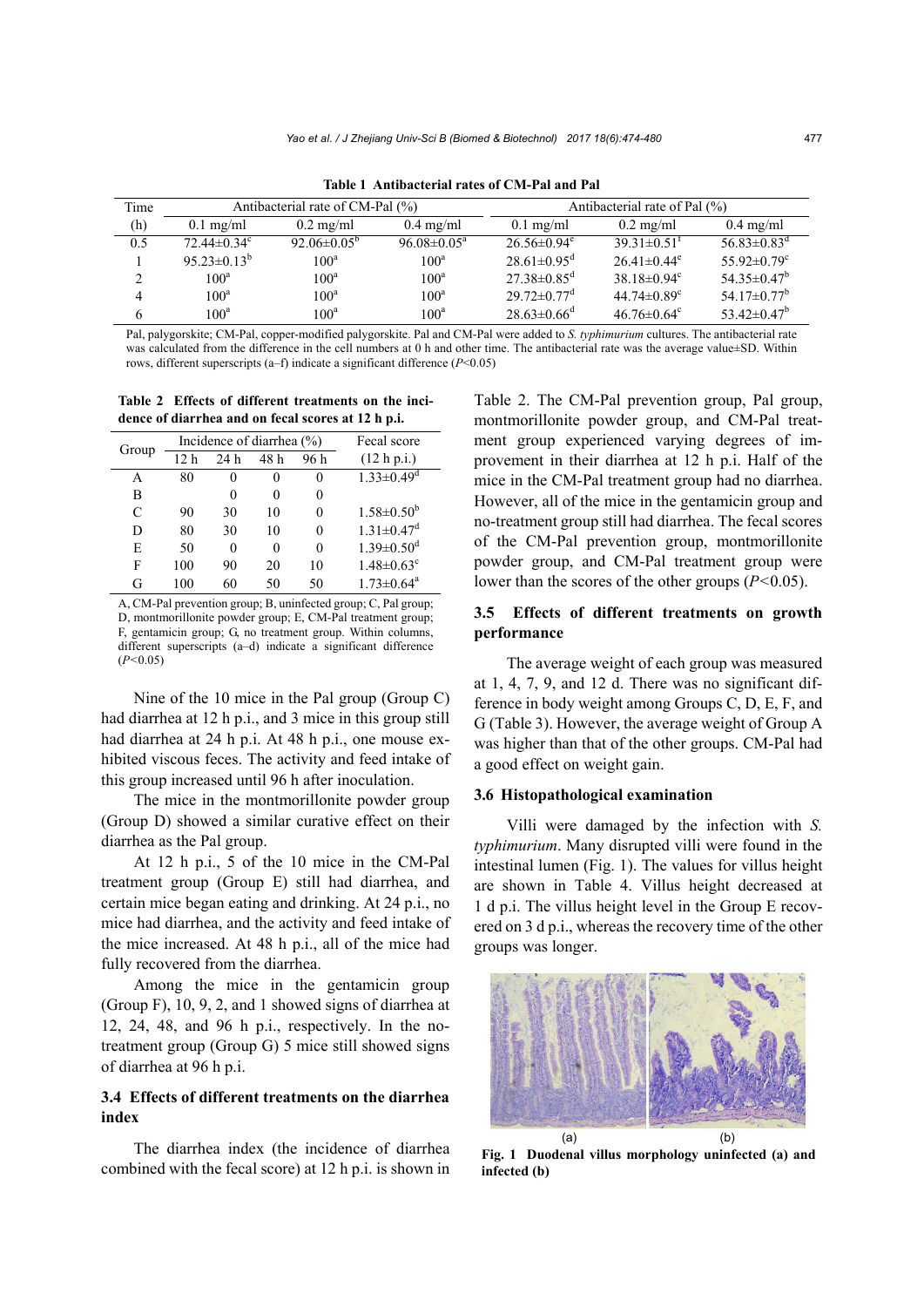| Time          | Antibacterial rate of CM-Pal (%) |                               |                          | Antibacterial rate of Pal $(\% )$ |                               |                               |
|---------------|----------------------------------|-------------------------------|--------------------------|-----------------------------------|-------------------------------|-------------------------------|
| (h)           | $0.1$ mg/ml                      | $0.2 \text{ mg/ml}$           | $0.4 \text{ mg/ml}$      | $0.1 \text{ mg/ml}$               | $0.2 \text{ mg/ml}$           | $0.4 \text{ mg/ml}$           |
| 0.5           | $72.44 \pm 0.34$ <sup>c</sup>    | 92.06 $\pm$ 0.05 <sup>b</sup> | $96.08 \pm 0.05^{\circ}$ | $26.56 \pm 0.94$ <sup>e</sup>     | $39.31 \pm 0.51$ <sup>t</sup> | $56.83 \pm 0.83$ <sup>d</sup> |
|               | $95.23 \pm 0.13^b$               | 100 <sup>a</sup>              | 100 <sup>a</sup>         | $28.61 \pm 0.95$ <sup>d</sup>     | $26.41 \pm 0.44$ <sup>e</sup> | 55.92 $\pm$ 0.79 <sup>c</sup> |
| $\mathcal{L}$ | 100 <sup>a</sup>                 | 100 <sup>a</sup>              | 100 <sup>a</sup>         | $27.38 \pm 0.85$ <sup>d</sup>     | 38.18 $\pm$ 0.94 <sup>c</sup> | $54.35\pm0.47^b$              |
| 4             | 100 <sup>a</sup>                 | 100 <sup>a</sup>              | 100 <sup>a</sup>         | $29.72 \pm 0.77$ <sup>d</sup>     | 44.74 $\pm$ 0.89 $^{\circ}$   | 54.17 $\pm$ 0.77 <sup>b</sup> |
|               | 100 <sup>a</sup>                 | 100 <sup>a</sup>              | 100 <sup>a</sup>         | $28.63\pm0.66^{\circ}$            | $46.76 \pm 0.64$ <sup>c</sup> | 53.42 $\pm$ 0.47 <sup>b</sup> |

**Table 1 Antibacterial rates of CM-Pal and Pal** 

Pal, palygorskite; CM-Pal, copper-modified palygorskite. Pal and CM-Pal were added to *S. typhimurium* cultures. The antibacterial rate was calculated from the difference in the cell numbers at 0 h and other time. The antibacterial rate was the average value±SD. Within rows, different superscripts (a–f) indicate a significant difference (*P*<0.05)

**Table 2 Effects of different treatments on the incidence of diarrhea and on fecal scores at 12 h p.i.** 

| Group | Incidence of diarrhea $(\% )$ |     |        |      | Fecal score                  |
|-------|-------------------------------|-----|--------|------|------------------------------|
|       | 12 h                          | 24h | 48 h   | 96 h | (12 h p.i.)                  |
| A     | 80                            | 0   | $_{0}$ | 0    | $1.33 \pm 0.49$ <sup>d</sup> |
| B     |                               | 0   | 0      | 0    |                              |
| C     | 90                            | 30  | 10     | 0    | $1.58 \pm 0.50^b$            |
| D     | 80                            | 30  | 10     |      | $1.31 \pm 0.47$ <sup>d</sup> |
| E     | 50                            | 0   | 0      | 0    | $1.39 \pm 0.50$ <sup>d</sup> |
| F     | 100                           | 90  | 20     | 10   | $1.48 \pm 0.63$ <sup>c</sup> |
| G     | 100                           | 60  | 50     | 50   | $1.73 \pm 0.64$ <sup>a</sup> |

A, CM-Pal prevention group; B, uninfected group; C, Pal group; D, montmorillonite powder group; E, CM-Pal treatment group; F, gentamicin group; G, no treatment group. Within columns, different superscripts (a–d) indicate a significant difference (*P<*0.05)

Nine of the 10 mice in the Pal group (Group C) had diarrhea at 12 h p.i., and 3 mice in this group still had diarrhea at 24 h p.i. At 48 h p.i., one mouse exhibited viscous feces. The activity and feed intake of this group increased until 96 h after inoculation.

The mice in the montmorillonite powder group (Group D) showed a similar curative effect on their diarrhea as the Pal group.

At 12 h p.i., 5 of the 10 mice in the CM-Pal treatment group (Group E) still had diarrhea, and certain mice began eating and drinking. At 24 p.i., no mice had diarrhea, and the activity and feed intake of the mice increased. At 48 h p.i., all of the mice had fully recovered from the diarrhea.

Among the mice in the gentamicin group (Group F), 10, 9, 2, and 1 showed signs of diarrhea at 12, 24, 48, and 96 h p.i., respectively. In the notreatment group (Group G) 5 mice still showed signs of diarrhea at 96 h p.i.

# **3.4 Effects of different treatments on the diarrhea index**

The diarrhea index (the incidence of diarrhea combined with the fecal score) at 12 h p.i. is shown in Table 2. The CM-Pal prevention group, Pal group, montmorillonite powder group, and CM-Pal treatment group experienced varying degrees of improvement in their diarrhea at 12 h p.i. Half of the mice in the CM-Pal treatment group had no diarrhea. However, all of the mice in the gentamicin group and no-treatment group still had diarrhea. The fecal scores of the CM-Pal prevention group, montmorillonite powder group, and CM-Pal treatment group were lower than the scores of the other groups (*P<*0.05).

## **3.5 Effects of different treatments on growth performance**

The average weight of each group was measured at 1, 4, 7, 9, and 12 d. There was no significant difference in body weight among Groups C, D, E, F, and G (Table 3). However, the average weight of Group A was higher than that of the other groups. CM-Pal had a good effect on weight gain.

#### **3.6 Histopathological examination**

Villi were damaged by the infection with *S. typhimurium*. Many disrupted villi were found in the intestinal lumen (Fig. 1). The values for villus height are shown in Table 4. Villus height decreased at 1 d p.i. The villus height level in the Group E recovered on 3 d p.i., whereas the recovery time of the other groups was longer.



**Fig. 1 Duodenal villus morphology uninfected (a) and infected (b)**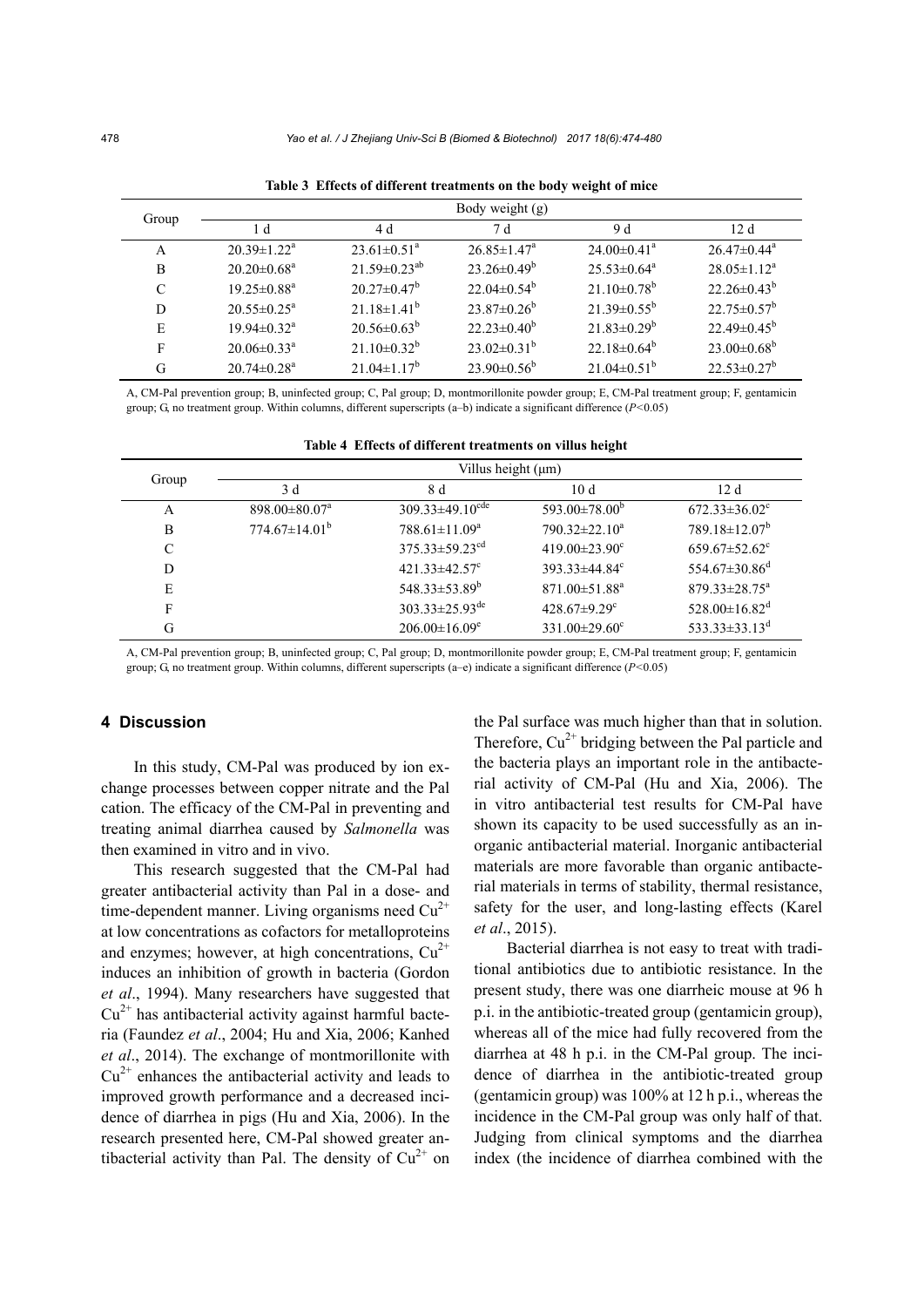| Group | Body weight (g)               |                               |                               |                               |                          |  |
|-------|-------------------------------|-------------------------------|-------------------------------|-------------------------------|--------------------------|--|
|       | 1 d                           | 4 d                           | 7 d                           | 9 d                           | 12d                      |  |
| A     | $20.39 \pm 1.22^{\text{a}}$   | $23.61 \pm 0.51$ <sup>a</sup> | $26.85 \pm 1.47^{\mathrm{a}}$ | $24.00 \pm 0.41$ <sup>a</sup> | $26.47\pm0.44^a$         |  |
| B     | $20.20 \pm 0.68$ <sup>a</sup> | $21.59\pm0.23^{ab}$           | $23.26 \pm 0.49^b$            | $25.53 \pm 0.64^a$            | $28.05 \pm 1.12^a$       |  |
| C     | $19.25 \pm 0.88$ <sup>a</sup> | $20.27 \pm 0.47^b$            | $22.04\pm0.54^{\circ}$        | $21.10\pm0.78^{\rm b}$        | $22.26 \pm 0.43^b$       |  |
| D     | $20.55 \pm 0.25^a$            | $21.18 \pm 1.41^b$            | $23.87\pm0.26^b$              | $21.39 \pm 0.55^b$            | $22.75 \pm 0.57^{\circ}$ |  |
| E     | $19.94 \pm 0.32$ <sup>a</sup> | $20.56 \pm 0.63^b$            | $22.23 \pm 0.40^b$            | $21.83 \pm 0.29^b$            | $22.49\pm0.45^{\rm b}$   |  |
| F     | $20.06 \pm 0.33$ <sup>a</sup> | $21.10\pm0.32^b$              | $23.02\pm0.31^{b}$            | 22.18 $\pm$ 0.64 <sup>b</sup> | $23.00\pm0.68^{\circ}$   |  |
| G     | $20.74 \pm 0.28$ <sup>a</sup> | $21.04 \pm 1.17^b$            | $23.90\pm0.56^b$              | $21.04\pm0.51^{b}$            | $22.53 \pm 0.27^b$       |  |

**Table 3 Effects of different treatments on the body weight of mice** 

A, CM-Pal prevention group; B, uninfected group; C, Pal group; D, montmorillonite powder group; E, CM-Pal treatment group; F, gentamicin group; G, no treatment group. Within columns, different superscripts (a–b) indicate a significant difference (*P<*0.05)

| Group | Villus height $(\mu m)$         |                                   |                                 |                                 |  |  |
|-------|---------------------------------|-----------------------------------|---------------------------------|---------------------------------|--|--|
|       | 3 d                             | 8 d                               | 10d                             | 12d                             |  |  |
| A     | $898.00 \pm 80.07$ <sup>a</sup> | $309.33 \pm 49.10$ <sup>cde</sup> | 593.00 $\pm$ 78.00 <sup>b</sup> | $672.33 \pm 36.02$ <sup>c</sup> |  |  |
| B     | $774.67 \pm 14.01^b$            | $788.61 \pm 11.09^a$              | $790.32 \pm 22.10^a$            | $789.18 \pm 12.07^b$            |  |  |
| C     |                                 | $375.33 \pm 59.23$ <sup>cd</sup>  | 419.00 $\pm$ 23.90 $^{\circ}$   | $659.67 \pm 52.62$ <sup>c</sup> |  |  |
| D     |                                 | $421.33 \pm 42.57$ °              | $393.33\pm44.84^{\circ}$        | $554.67 \pm 30.86$ <sup>d</sup> |  |  |
| E     |                                 | $548.33\pm53.89^b$                | $871.00 \pm 51.88$ <sup>a</sup> | $879.33 \pm 28.75^a$            |  |  |
| F     |                                 | $303.33 \pm 25.93$ <sup>de</sup>  | $428.67 \pm 9.29$ <sup>c</sup>  | $528.00 \pm 16.82$ <sup>d</sup> |  |  |
| G     |                                 | $206.00 \pm 16.09^e$              | $331.00 \pm 29.60^{\circ}$      | 533.33 $\pm$ 33.13 <sup>d</sup> |  |  |

A, CM-Pal prevention group; B, uninfected group; C, Pal group; D, montmorillonite powder group; E, CM-Pal treatment group; F, gentamicin group; G, no treatment group. Within columns, different superscripts (a–e) indicate a significant difference (*P<*0.05)

# **4 Discussion**

In this study, CM-Pal was produced by ion exchange processes between copper nitrate and the Pal cation. The efficacy of the CM-Pal in preventing and treating animal diarrhea caused by *Salmonella* was then examined in vitro and in vivo.

This research suggested that the CM-Pal had greater antibacterial activity than Pal in a dose- and time-dependent manner. Living organisms need  $Cu^{2+}$ at low concentrations as cofactors for metalloproteins and enzymes; however, at high concentrations,  $Cu^{2+}$ induces an inhibition of growth in bacteria (Gordon *et al*., 1994). Many researchers have suggested that  $Cu<sup>2+</sup>$  has antibacterial activity against harmful bacteria (Faundez *et al*., 2004; Hu and Xia, 2006; Kanhed *et al*., 2014). The exchange of montmorillonite with  $Cu<sup>2+</sup>$  enhances the antibacterial activity and leads to improved growth performance and a decreased incidence of diarrhea in pigs (Hu and Xia, 2006). In the research presented here, CM-Pal showed greater antibacterial activity than Pal. The density of  $Cu^{2+}$  on the Pal surface was much higher than that in solution. Therefore,  $Cu^{2+}$  bridging between the Pal particle and the bacteria plays an important role in the antibacterial activity of CM-Pal (Hu and Xia, 2006). The in vitro antibacterial test results for CM-Pal have shown its capacity to be used successfully as an inorganic antibacterial material. Inorganic antibacterial materials are more favorable than organic antibacterial materials in terms of stability, thermal resistance, safety for the user, and long-lasting effects (Karel *et al*., 2015).

Bacterial diarrhea is not easy to treat with traditional antibiotics due to antibiotic resistance. In the present study, there was one diarrheic mouse at 96 h p.i. in the antibiotic-treated group (gentamicin group), whereas all of the mice had fully recovered from the diarrhea at 48 h p.i. in the CM-Pal group. The incidence of diarrhea in the antibiotic-treated group (gentamicin group) was 100% at 12 h p.i., whereas the incidence in the CM-Pal group was only half of that. Judging from clinical symptoms and the diarrhea index (the incidence of diarrhea combined with the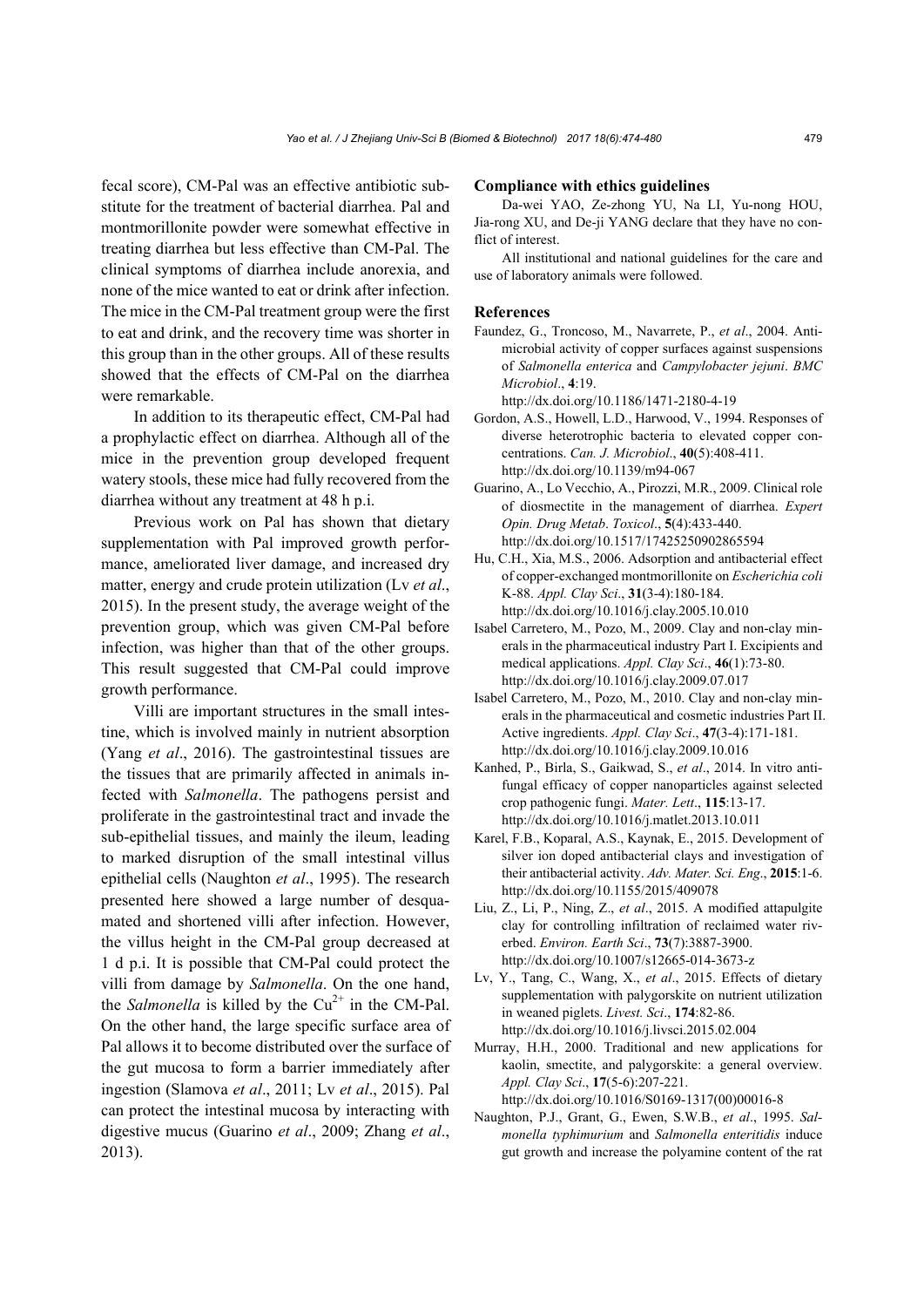fecal score), CM-Pal was an effective antibiotic substitute for the treatment of bacterial diarrhea. Pal and montmorillonite powder were somewhat effective in treating diarrhea but less effective than CM-Pal. The clinical symptoms of diarrhea include anorexia, and none of the mice wanted to eat or drink after infection. The mice in the CM-Pal treatment group were the first to eat and drink, and the recovery time was shorter in this group than in the other groups. All of these results showed that the effects of CM-Pal on the diarrhea were remarkable.

In addition to its therapeutic effect, CM-Pal had a prophylactic effect on diarrhea. Although all of the mice in the prevention group developed frequent watery stools, these mice had fully recovered from the diarrhea without any treatment at 48 h p.i.

Previous work on Pal has shown that dietary supplementation with Pal improved growth performance, ameliorated liver damage, and increased dry matter, energy and crude protein utilization (Lv *et al*., 2015). In the present study, the average weight of the prevention group, which was given CM-Pal before infection, was higher than that of the other groups. This result suggested that CM-Pal could improve growth performance.

Villi are important structures in the small intestine, which is involved mainly in nutrient absorption (Yang *et al*., 2016). The gastrointestinal tissues are the tissues that are primarily affected in animals infected with *Salmonella*. The pathogens persist and proliferate in the gastrointestinal tract and invade the sub-epithelial tissues, and mainly the ileum, leading to marked disruption of the small intestinal villus epithelial cells (Naughton *et al*., 1995). The research presented here showed a large number of desquamated and shortened villi after infection. However, the villus height in the CM-Pal group decreased at 1 d p.i. It is possible that CM-Pal could protect the villi from damage by *Salmonella*. On the one hand, the *Salmonella* is killed by the  $Cu^{2+}$  in the CM-Pal. On the other hand, the large specific surface area of Pal allows it to become distributed over the surface of the gut mucosa to form a barrier immediately after ingestion (Slamova *et al*., 2011; Lv *et al*., 2015). Pal can protect the intestinal mucosa by interacting with digestive mucus (Guarino *et al*., 2009; Zhang *et al*., 2013).

#### **Compliance with ethics guidelines**

Da-wei YAO, Ze-zhong YU, Na LI, Yu-nong HOU, Jia-rong XU, and De-ji YANG declare that they have no conflict of interest.

All institutional and national guidelines for the care and use of laboratory animals were followed.

#### **References**

Faundez, G., Troncoso, M., Navarrete, P., *et al*., 2004. Antimicrobial activity of copper surfaces against suspensions of *Salmonella enterica* and *Campylobacter jejuni*. *BMC Microbiol*., **4**:19.

http://dx.doi.org/10.1186/1471-2180-4-19

- Gordon, A.S., Howell, L.D., Harwood, V., 1994. Responses of diverse heterotrophic bacteria to elevated copper concentrations. *Can. J. Microbiol*., **40**(5):408-411. http://dx.doi.org/10.1139/m94-067
- Guarino, A., Lo Vecchio, A., Pirozzi, M.R., 2009. Clinical role of diosmectite in the management of diarrhea. *Expert Opin. Drug Metab*. *Toxicol*., **5**(4):433-440. http://dx.doi.org/10.1517/17425250902865594
- Hu, C.H., Xia, M.S., 2006. Adsorption and antibacterial effect of copper-exchanged montmorillonite on *Escherichia coli*  K-88. *Appl. Clay Sci*., **31**(3-4):180-184. http://dx.doi.org/10.1016/j.clay.2005.10.010
- Isabel Carretero, M., Pozo, M., 2009. Clay and non-clay minerals in the pharmaceutical industry Part I. Excipients and medical applications. *Appl. Clay Sci*., **46**(1):73-80. http://dx.doi.org/10.1016/j.clay.2009.07.017
- Isabel Carretero, M., Pozo, M., 2010. Clay and non-clay minerals in the pharmaceutical and cosmetic industries Part II. Active ingredients. *Appl. Clay Sci*., **47**(3-4):171-181. http://dx.doi.org/10.1016/j.clay.2009.10.016
- Kanhed, P., Birla, S., Gaikwad, S., *et al*., 2014. In vitro antifungal efficacy of copper nanoparticles against selected crop pathogenic fungi. *Mater. Lett*., **115**:13-17. http://dx.doi.org/10.1016/j.matlet.2013.10.011
- Karel, F.B., Koparal, A.S., Kaynak, E., 2015. Development of silver ion doped antibacterial clays and investigation of their antibacterial activity. *Adv. Mater. Sci. Eng*., **2015**:1-6. http://dx.doi.org/10.1155/2015/409078
- Liu, Z., Li, P., Ning, Z., *et al*., 2015. A modified attapulgite clay for controlling infiltration of reclaimed water riverbed. *Environ. Earth Sci*., **73**(7):3887-3900. http://dx.doi.org/10.1007/s12665-014-3673-z
- Lv, Y., Tang, C., Wang, X., *et al*., 2015. Effects of dietary supplementation with palygorskite on nutrient utilization in weaned piglets. *Livest. Sci*., **174**:82-86. http://dx.doi.org/10.1016/j.livsci.2015.02.004
- Murray, H.H., 2000. Traditional and new applications for kaolin, smectite, and palygorskite: a general overview. *Appl. Clay Sci*., **17**(5-6):207-221. http://dx.doi.org/10.1016/S0169-1317(00)00016-8
- Naughton, P.J., Grant, G., Ewen, S.W.B., *et al*., 1995. *Salmonella typhimurium* and *Salmonella enteritidis* induce gut growth and increase the polyamine content of the rat